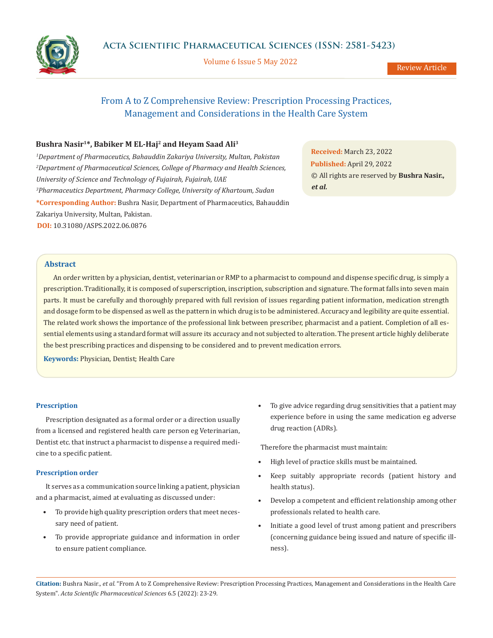Volume 6 Issue 5 May 2022

Review Article

# From A to Z Comprehensive Review: Prescription Processing Practices, Management and Considerations in the Health Care System

# **Bushra Nasir1\*, Babiker M EL-Haj2 and Heyam Saad Ali3**

*1 Department of Pharmaceutics, Bahauddin Zakariya University, Multan, Pakistan 2 Department of Pharmaceutical Sciences, College of Pharmacy and Health Sciences, University of Science and Technology of Fujairah, Fujairah, UAE 3 Pharmaceutics Department, Pharmacy College, University of Khartoum, Sudan* **\*Corresponding Author:** Bushra Nasir, Department of Pharmaceutics, Bahauddin Zakariya University, Multan, Pakistan. **DOI:** [10.31080/ASPS.2022.06.0876](https://actascientific.com/ASPS/pdf/ASPS-06-0876.pdf)

**Received:** March 23, 2022 **Published:** April 29, 2022 © All rights are reserved by **Bushra Nasir.,**  *et al.*

# **Abstract**

An order written by a physician, dentist, veterinarian or RMP to a pharmacist to compound and dispense specific drug, is simply a prescription. Traditionally, it is composed of superscription, inscription, subscription and signature. The format falls into seven main parts. It must be carefully and thoroughly prepared with full revision of issues regarding patient information, medication strength and dosage form to be dispensed as well as the pattern in which drug is to be administered. Accuracy and legibility are quite essential. The related work shows the importance of the professional link between prescriber, pharmacist and a patient. Completion of all essential elements using a standard format will assure its accuracy and not subjected to alteration. The present article highly deliberate the best prescribing practices and dispensing to be considered and to prevent medication errors.

**Keywords:** Physician, Dentist; Health Care

# **Prescription**

Prescription designated as a formal order or a direction usually from a licensed and registered health care person eg Veterinarian, Dentist etc. that instruct a pharmacist to dispense a required medicine to a specific patient.

# **Prescription order**

It serves as a communication source linking a patient, physician and a pharmacist, aimed at evaluating as discussed under:

- To provide high quality prescription orders that meet necessary need of patient.
- To provide appropriate guidance and information in order to ensure patient compliance.

• To give advice regarding drug sensitivities that a patient may experience before in using the same medication eg adverse drug reaction (ADRs).

Therefore the pharmacist must maintain:

- High level of practice skills must be maintained.
- Keep suitably appropriate records (patient history and health status).
- Develop a competent and efficient relationship among other professionals related to health care.
- Initiate a good level of trust among patient and prescribers (concerning guidance being issued and nature of specific illness).

**Citation:** Bushra Nasir*., et al.* "From A to Z Comprehensive Review: Prescription Processing Practices, Management and Considerations in the Health Care System". *Acta Scientific Pharmaceutical Sciences* 6.5 (2022): 23-29.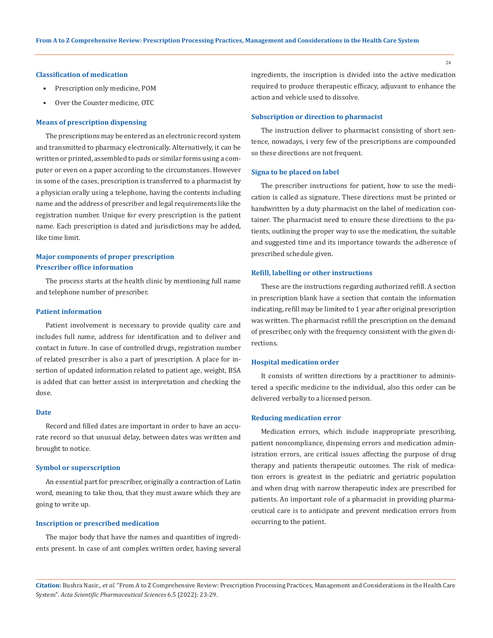# **Classification of medication**

- Prescription only medicine, POM
- Over the Counter medicine, OTC

#### **Means of prescription dispensing**

The prescriptions may be entered as an electronic record system and transmitted to pharmacy electronically. Alternatively, it can be written or printed, assembled to pads or similar forms using a computer or even on a paper according to the circumstances. However in some of the cases, prescription is transferred to a pharmacist by a physician orally using a telephone, having the contents including name and the address of prescriber and legal requirements like the registration number. Unique for every prescription is the patient name. Each prescription is dated and jurisdictions may be added, like time limit.

# **Major components of proper prescription Prescriber office information**

The process starts at the health clinic by mentioning full name and telephone number of prescriber.

# **Patient information**

Patient involvement is necessary to provide quality care and includes full name, address for identification and to deliver and contact in future. In case of controlled drugs, registration number of related prescriber is also a part of prescription. A place for insertion of updated information related to patient age, weight, BSA is added that can better assist in interpretation and checking the dose.

# **Date**

Record and filled dates are important in order to have an accurate record so that unusual delay, between dates was written and brought to notice.

#### **Symbol or superscription**

An essential part for prescriber, originally a contraction of Latin word, meaning to take thou, that they must aware which they are going to write up.

# **Inscription or prescribed medication**

The major body that have the names and quantities of ingredients present. In case of ant complex written order, having several ingredients, the inscription is divided into the active medication required to produce therapeutic efficacy, adjuvant to enhance the action and vehicle used to dissolve.

# **Subscription or direction to pharmacist**

The instruction deliver to pharmacist consisting of short sentence, nowadays, i very few of the prescriptions are compounded so these directions are not frequent.

## **Signa to be placed on label**

The prescriber instructions for patient, how to use the medication is called as signature. These directions must be printed or handwritten by a duty pharmacist on the label of medication container. The pharmacist need to ensure these directions to the patients, outlining the proper way to use the medication, the suitable and suggested time and its importance towards the adherence of prescribed schedule given.

#### **Refill, labelling or other instructions**

These are the instructions regarding authorized refill. A section in prescription blank have a section that contain the information indicating, refill may be limited to 1 year after original prescription was written. The pharmacist refill the prescription on the demand of prescriber, only with the frequency consistent with the given directions.

# **Hospital medication order**

It consists of written directions by a practitioner to administered a specific medicine to the individual, also this order can be delivered verbally to a licensed person.

#### **Reducing medication error**

Medication errors, which include inappropriate prescribing, patient noncompliance, dispensing errors and medication administration errors, are critical issues affecting the purpose of drug therapy and patients therapeutic outcomes. The risk of medication errors is greatest in the pediatric and geriatric population and when drug with narrow therapeutic index are prescribed for patients. An important role of a pharmacist in providing pharmaceutical care is to anticipate and prevent medication errors from occurring to the patient.

**Citation:** Bushra Nasir*., et al.* "From A to Z Comprehensive Review: Prescription Processing Practices, Management and Considerations in the Health Care System". *Acta Scientific Pharmaceutical Sciences* 6.5 (2022): 23-29.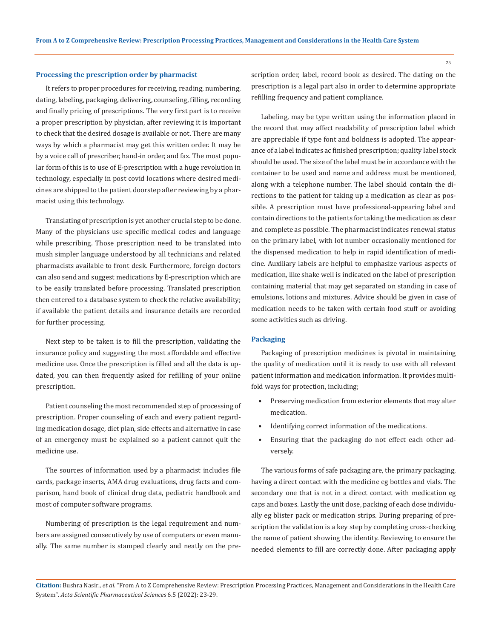# **Processing the prescription order by pharmacist**

It refers to proper procedures for receiving, reading, numbering, dating, labeling, packaging, delivering, counseling, filling, recording and finally pricing of prescriptions. The very first part is to receive a proper prescription by physician, after reviewing it is important to check that the desired dosage is available or not. There are many ways by which a pharmacist may get this written order. It may be by a voice call of prescriber, hand-in order, and fax. The most popular form of this is to use of E-prescription with a huge revolution in technology, especially in post covid locations where desired medicines are shipped to the patient doorstep after reviewing by a pharmacist using this technology.

Translating of prescription is yet another crucial step to be done. Many of the physicians use specific medical codes and language while prescribing. Those prescription need to be translated into mush simpler language understood by all technicians and related pharmacists available to front desk. Furthermore, foreign doctors can also send and suggest medications by E-prescription which are to be easily translated before processing. Translated prescription then entered to a database system to check the relative availability; if available the patient details and insurance details are recorded for further processing.

Next step to be taken is to fill the prescription, validating the insurance policy and suggesting the most affordable and effective medicine use. Once the prescription is filled and all the data is updated, you can then frequently asked for refilling of your online prescription.

Patient counseling the most recommended step of processing of prescription. Proper counseling of each and every patient regarding medication dosage, diet plan, side effects and alternative in case of an emergency must be explained so a patient cannot quit the medicine use.

The sources of information used by a pharmacist includes file cards, package inserts, AMA drug evaluations, drug facts and comparison, hand book of clinical drug data, pediatric handbook and most of computer software programs.

Numbering of prescription is the legal requirement and numbers are assigned consecutively by use of computers or even manually. The same number is stamped clearly and neatly on the prescription order, label, record book as desired. The dating on the prescription is a legal part also in order to determine appropriate refilling frequency and patient compliance.

Labeling, may be type written using the information placed in the record that may affect readability of prescription label which are appreciable if type font and boldness is adopted. The appearance of a label indicates ac finished prescription; quality label stock should be used. The size of the label must be in accordance with the container to be used and name and address must be mentioned, along with a telephone number. The label should contain the directions to the patient for taking up a medication as clear as possible. A prescription must have professional-appearing label and contain directions to the patients for taking the medication as clear and complete as possible. The pharmacist indicates renewal status on the primary label, with lot number occasionally mentioned for the dispensed medication to help in rapid identification of medicine. Auxiliary labels are helpful to emphasize various aspects of medication, like shake well is indicated on the label of prescription containing material that may get separated on standing in case of emulsions, lotions and mixtures. Advice should be given in case of medication needs to be taken with certain food stuff or avoiding some activities such as driving.

# **Packaging**

Packaging of prescription medicines is pivotal in maintaining the quality of medication until it is ready to use with all relevant patient information and medication information. It provides multifold ways for protection, including;

- Preserving medication from exterior elements that may alter medication.
- Identifying correct information of the medications.
- Ensuring that the packaging do not effect each other adversely.

The various forms of safe packaging are, the primary packaging, having a direct contact with the medicine eg bottles and vials. The secondary one that is not in a direct contact with medication eg caps and boxes. Lastly the unit dose, packing of each dose individually eg blister pack or medication strips. During preparing of prescription the validation is a key step by completing cross-checking the name of patient showing the identity. Reviewing to ensure the needed elements to fill are correctly done. After packaging apply

**Citation:** Bushra Nasir*., et al.* "From A to Z Comprehensive Review: Prescription Processing Practices, Management and Considerations in the Health Care System". *Acta Scientific Pharmaceutical Sciences* 6.5 (2022): 23-29.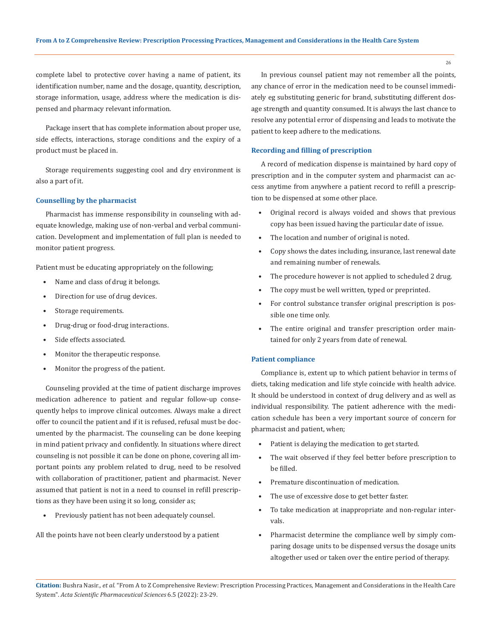complete label to protective cover having a name of patient, its identification number, name and the dosage, quantity, description, storage information, usage, address where the medication is dispensed and pharmacy relevant information.

Package insert that has complete information about proper use, side effects, interactions, storage conditions and the expiry of a product must be placed in.

Storage requirements suggesting cool and dry environment is also a part of it.

# **Counselling by the pharmacist**

Pharmacist has immense responsibility in counseling with adequate knowledge, making use of non-verbal and verbal communication. Development and implementation of full plan is needed to monitor patient progress.

Patient must be educating appropriately on the following;

- Name and class of drug it belongs.
- Direction for use of drug devices.
- Storage requirements.
- Drug-drug or food-drug interactions.
- Side effects associated.
- Monitor the therapeutic response.
- Monitor the progress of the patient.

Counseling provided at the time of patient discharge improves medication adherence to patient and regular follow-up consequently helps to improve clinical outcomes. Always make a direct offer to council the patient and if it is refused, refusal must be documented by the pharmacist. The counseling can be done keeping in mind patient privacy and confidently. In situations where direct counseling is not possible it can be done on phone, covering all important points any problem related to drug, need to be resolved with collaboration of practitioner, patient and pharmacist. Never assumed that patient is not in a need to counsel in refill prescriptions as they have been using it so long, consider as;

• Previously patient has not been adequately counsel.

All the points have not been clearly understood by a patient

In previous counsel patient may not remember all the points, any chance of error in the medication need to be counsel immediately eg substituting generic for brand, substituting different dosage strength and quantity consumed. It is always the last chance to resolve any potential error of dispensing and leads to motivate the patient to keep adhere to the medications.

# **Recording and filling of prescription**

A record of medication dispense is maintained by hard copy of prescription and in the computer system and pharmacist can access anytime from anywhere a patient record to refill a prescription to be dispensed at some other place.

- Original record is always voided and shows that previous copy has been issued having the particular date of issue.
- The location and number of original is noted.
- Copy shows the dates including, insurance, last renewal date and remaining number of renewals.
- The procedure however is not applied to scheduled 2 drug.
- The copy must be well written, typed or preprinted.
- For control substance transfer original prescription is possible one time only.
- The entire original and transfer prescription order maintained for only 2 years from date of renewal.

# **Patient compliance**

Compliance is, extent up to which patient behavior in terms of diets, taking medication and life style coincide with health advice. It should be understood in context of drug delivery and as well as individual responsibility. The patient adherence with the medication schedule has been a very important source of concern for pharmacist and patient, when;

- Patient is delaying the medication to get started.
- The wait observed if they feel better before prescription to be filled.
- Premature discontinuation of medication.
- The use of excessive dose to get better faster.
- To take medication at inappropriate and non-regular intervals.
- Pharmacist determine the compliance well by simply comparing dosage units to be dispensed versus the dosage units altogether used or taken over the entire period of therapy.

**Citation:** Bushra Nasir*., et al.* "From A to Z Comprehensive Review: Prescription Processing Practices, Management and Considerations in the Health Care System". *Acta Scientific Pharmaceutical Sciences* 6.5 (2022): 23-29.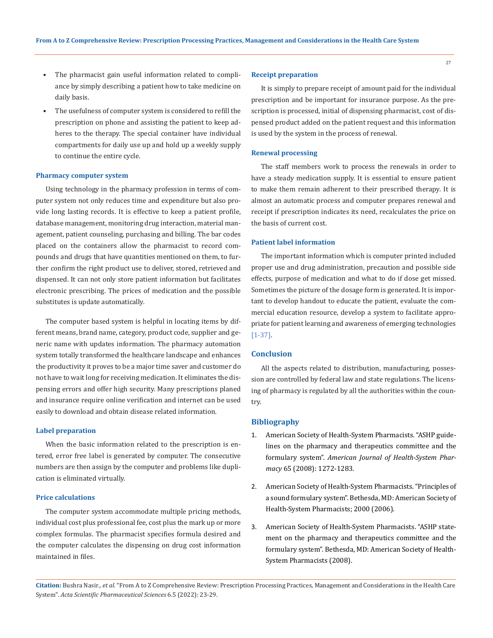- The pharmacist gain useful information related to compliance by simply describing a patient how to take medicine on daily basis.
- The usefulness of computer system is considered to refill the prescription on phone and assisting the patient to keep adheres to the therapy. The special container have individual compartments for daily use up and hold up a weekly supply to continue the entire cycle.

# **Pharmacy computer system**

Using technology in the pharmacy profession in terms of computer system not only reduces time and expenditure but also provide long lasting records. It is effective to keep a patient profile, database management, monitoring drug interaction, material management, patient counseling, purchasing and billing. The bar codes placed on the containers allow the pharmacist to record compounds and drugs that have quantities mentioned on them, to further confirm the right product use to deliver, stored, retrieved and dispensed. It can not only store patient information but facilitates electronic prescribing. The prices of medication and the possible substitutes is update automatically.

The computer based system is helpful in locating items by different means, brand name, category, product code, supplier and generic name with updates information. The pharmacy automation system totally transformed the healthcare landscape and enhances the productivity it proves to be a major time saver and customer do not have to wait long for receiving medication. It eliminates the dispensing errors and offer high security. Many prescriptions planed and insurance require online verification and internet can be used easily to download and obtain disease related information.

#### **Label preparation**

When the basic information related to the prescription is entered, error free label is generated by computer. The consecutive numbers are then assign by the computer and problems like duplication is eliminated virtually.

#### **Price calculations**

The computer system accommodate multiple pricing methods, individual cost plus professional fee, cost plus the mark up or more complex formulas. The pharmacist specifies formula desired and the computer calculates the dispensing on drug cost information maintained in files.

# **Receipt preparation**

It is simply to prepare receipt of amount paid for the individual prescription and be important for insurance purpose. As the prescription is processed, initial of dispensing pharmacist, cost of dispensed product added on the patient request and this information is used by the system in the process of renewal.

#### **Renewal processing**

The staff members work to process the renewals in order to have a steady medication supply. It is essential to ensure patient to make them remain adherent to their prescribed therapy. It is almost an automatic process and computer prepares renewal and receipt if prescription indicates its need, recalculates the price on the basis of current cost.

#### **Patient label information**

The important information which is computer printed included proper use and drug administration, precaution and possible side effects, purpose of medication and what to do if dose get missed. Sometimes the picture of the dosage form is generated. It is important to develop handout to educate the patient, evaluate the commercial education resource, develop a system to facilitate appropriate for patient learning and awareness of emerging technologies [1-37].

# **Conclusion**

All the aspects related to distribution, manufacturing, possession are controlled by federal law and state regulations. The licensing of pharmacy is regulated by all the authorities within the country.

#### **Bibliography**

- 1. [American Society of Health-System Pharmacists. "ASHP guide](https://www.ashp.org/-/media/assets/policy-guidelines/docs/guidelines/gdl-pharmacy-therapeutics-committee-formulary-system.ashx)[lines on the pharmacy and therapeutics committee and the](https://www.ashp.org/-/media/assets/policy-guidelines/docs/guidelines/gdl-pharmacy-therapeutics-committee-formulary-system.ashx) formulary system". *[American Journal of Health-System Phar](https://www.ashp.org/-/media/assets/policy-guidelines/docs/guidelines/gdl-pharmacy-therapeutics-committee-formulary-system.ashx)macy* [65 \(2008\): 1272-1283.](https://www.ashp.org/-/media/assets/policy-guidelines/docs/guidelines/gdl-pharmacy-therapeutics-committee-formulary-system.ashx)
- 2. American Society of Health-System Pharmacists. "Principles of a sound formulary system". Bethesda, MD: American Society of Health-System Pharmacists; 2000 (2006).
- 3. American Society of Health-System Pharmacists. "ASHP statement on the pharmacy and therapeutics committee and the formulary system". Bethesda, MD: American Society of Health-System Pharmacists (2008).

**Citation:** Bushra Nasir*., et al.* "From A to Z Comprehensive Review: Prescription Processing Practices, Management and Considerations in the Health Care System". *Acta Scientific Pharmaceutical Sciences* 6.5 (2022): 23-29.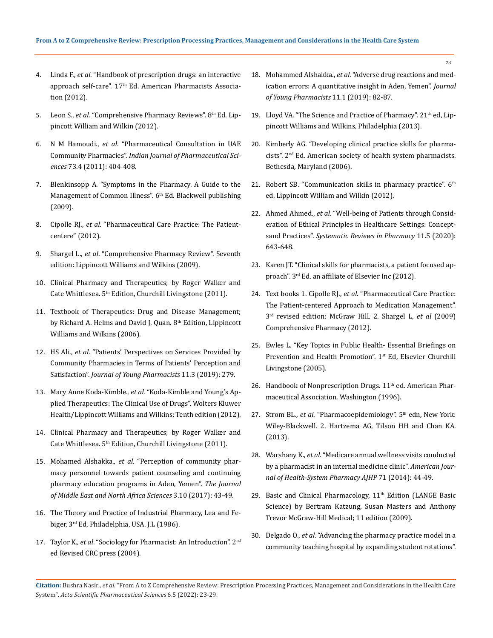- 4. Linda F., *et al*. "Handbook of prescription drugs: an interactive approach self-care". 17<sup>th</sup> Ed. American Pharmacists Association (2012).
- 5. Leon S., *et al*. "Comprehensive Pharmacy Reviews". 8th Ed. Lippincott William and Wilkin (2012).
- 6. N M Hamoudi., *et al*[. "Pharmaceutical Consultation in UAE](https://www.ncbi.nlm.nih.gov/pmc/articles/PMC3374556/)  Community Pharmacies". *[Indian Journal of Pharmaceutical Sci](https://www.ncbi.nlm.nih.gov/pmc/articles/PMC3374556/)ences* [73.4 \(2011\): 404-408.](https://www.ncbi.nlm.nih.gov/pmc/articles/PMC3374556/)
- 7. Blenkinsopp A. "Symptoms in the Pharmacy. A Guide to the Management of Common Illness". 6<sup>th</sup> Ed. Blackwell publishing (2009).
- 8. Cipolle RJ., *et al*. "Pharmaceutical Care Practice: The Patientcentere" (2012).
- 9. Shargel L., *et al*. "Comprehensive Pharmacy Review". Seventh edition: Lippincott Williams and Wilkins (2009).
- 10. Clinical Pharmacy and Therapeutics; by Roger Walker and Cate Whittlesea. 5th Edition, Churchill Livingstone (2011).
- 11. Textbook of Therapeutics: Drug and Disease Management; by Richard A. Helms and David J. Quan. 8<sup>th</sup> Edition, Lippincott Williams and Wilkins (2006).
- 12. HS Ali., *et al*[. "Patients' Perspectives on Services Provided by](https://www.jyoungpharm.org/article/1336)  [Community Pharmacies in Terms of Patients' Perception and](https://www.jyoungpharm.org/article/1336)  Satisfaction". *[Journal of Young Pharmacists](https://www.jyoungpharm.org/article/1336)* 11.3 (2019): 279.
- 13. Mary Anne Koda-Kimble., *et al*. "Koda-Kimble and Young's Applied Therapeutics: The Clinical Use of Drugs". Wolters Kluwer Health/Lippincott Williams and Wilkins; Tenth edition (2012).
- 14. Clinical Pharmacy and Therapeutics; by Roger Walker and Cate Whittlesea. 5th Edition, Churchill Livingstone (2011).
- 15. Mohamed Alshakka., *et al*[. "Perception of community phar](https://pdfs.semanticscholar.org/c168/c178415a3921edffda5c032c9fbcfc43a686.pdf)[macy personnel towards patient counseling and continuing](https://pdfs.semanticscholar.org/c168/c178415a3921edffda5c032c9fbcfc43a686.pdf)  [pharmacy education programs in Aden, Yemen".](https://pdfs.semanticscholar.org/c168/c178415a3921edffda5c032c9fbcfc43a686.pdf) *The Journal [of Middle East and North Africa Sciences](https://pdfs.semanticscholar.org/c168/c178415a3921edffda5c032c9fbcfc43a686.pdf)* 3.10 (2017): 43-49.
- 16. The Theory and Practice of Industrial Pharmacy, Lea and Febiger, 3rd Ed, Philadelphia, USA. J.L (1986).
- 17. Taylor K., *et al*. "Sociology for Pharmacist: An Introduction". 2nd ed Revised CRC press (2004).
- 18. Mohammed Alshakka., *et al*[. "Adverse drug reactions and med](https://jyoungpharm.org/sites/default/files/JYoungPharm-11-1-82.pdf)[ication errors: A quantitative insight in Aden, Yemen".](https://jyoungpharm.org/sites/default/files/JYoungPharm-11-1-82.pdf) *Journal [of Young Pharmacists](https://jyoungpharm.org/sites/default/files/JYoungPharm-11-1-82.pdf)* 11.1 (2019): 82-87.
- 19. Lloyd VA. "The Science and Practice of Pharmacy". 21<sup>th</sup> ed, Lippincott Williams and Wilkins, Philadelphia (2013).
- 20. Kimberly AG. "Developing clinical practice skills for pharmacists". 2<sup>nd</sup> Ed. American society of health system pharmacists. Bethesda, Maryland (2006).
- 21. Robert SB. "Communication skills in pharmacy practice". 6<sup>th</sup> ed. Lippincott William and Wilkin (2012).
- 22. Ahmed Ahmed., *et al*. "Well-being of Patients through Consideration of Ethical Principles in Healthcare Settings: Conceptsand Practices". *Systematic Reviews in Pharmacy* 11.5 (2020): 643-648.
- 23. Karen JT. "Clinical skills for pharmacists, a patient focused approach". 3<sup>rd</sup> Ed. an affiliate of Elsevier Inc (2012).
- 24. Text books 1. Cipolle RJ., *et al*. "Pharmaceutical Care Practice: The Patient-centered Approach to Medication Management". 3rd revised edition: McGraw Hill. 2. Shargel L, *et al* (2009) Comprehensive Pharmacy (2012).
- 25. Ewles L. "Key Topics in Public Health- Essential Briefings on Prevention and Health Promotion". 1<sup>st</sup> Ed, Elsevier Churchill Livingstone (2005).
- 26. Handbook of Nonprescription Drugs. 11<sup>th</sup> ed. American Pharmaceutical Association. Washington (1996).
- 27. Strom BL., et al. "Pharmacoepidemiology". 5<sup>th</sup> edn, New York: Wiley-Blackwell. 2. Hartzema AG, Tilson HH and Chan KA. (2013).
- 28. Warshany K., *et al*[. "Medicare annual wellness visits conducted](https://pubmed.ncbi.nlm.nih.gov/24352181)  [by a pharmacist in an internal medicine clinic".](https://pubmed.ncbi.nlm.nih.gov/24352181) *American Jour[nal of Health-System Pharmacy AJHP](https://pubmed.ncbi.nlm.nih.gov/24352181)* 71 (2014): 44-49.
- 29. Basic and Clinical Pharmacology,  $11<sup>th</sup>$  Edition (LANGE Basic Science) by Bertram Katzung, Susan Masters and Anthony Trevor McGraw-Hill Medical; 11 edition (2009).
- 30. Delgado O., *et al*[. "Advancing the pharmacy practice model in a](https://pubmed.ncbi.nlm.nih.gov/25320137/)  [community teaching hospital by expanding student rotations".](https://pubmed.ncbi.nlm.nih.gov/25320137/)

**Citation:** Bushra Nasir*., et al.* "From A to Z Comprehensive Review: Prescription Processing Practices, Management and Considerations in the Health Care System". *Acta Scientific Pharmaceutical Sciences* 6.5 (2022): 23-29.